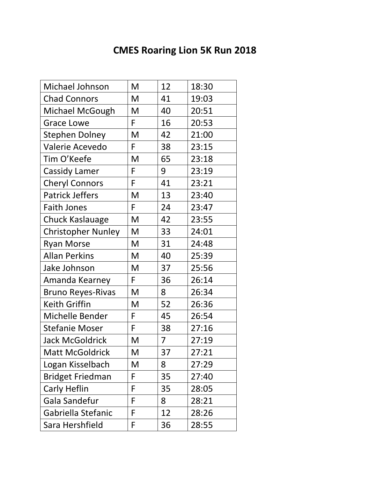## **CMES Roaring Lion 5K Run 2018**

| Michael Johnson           | M | 12 | 18:30 |
|---------------------------|---|----|-------|
| <b>Chad Connors</b>       | M | 41 | 19:03 |
| Michael McGough           | M | 40 | 20:51 |
| <b>Grace Lowe</b>         | F | 16 | 20:53 |
| <b>Stephen Dolney</b>     | M | 42 | 21:00 |
| Valerie Acevedo           | F | 38 | 23:15 |
| Tim O'Keefe               | M | 65 | 23:18 |
| <b>Cassidy Lamer</b>      | F | 9  | 23:19 |
| <b>Cheryl Connors</b>     | F | 41 | 23:21 |
| <b>Patrick Jeffers</b>    | M | 13 | 23:40 |
| <b>Faith Jones</b>        | F | 24 | 23:47 |
| Chuck Kaslauage           | M | 42 | 23:55 |
| <b>Christopher Nunley</b> | M | 33 | 24:01 |
| <b>Ryan Morse</b>         | M | 31 | 24:48 |
| <b>Allan Perkins</b>      | M | 40 | 25:39 |
| Jake Johnson              | M | 37 | 25:56 |
| Amanda Kearney            | F | 36 | 26:14 |
| <b>Bruno Reyes-Rivas</b>  | M | 8  | 26:34 |
| Keith Griffin             | M | 52 | 26:36 |
| Michelle Bender           | F | 45 | 26:54 |
| <b>Stefanie Moser</b>     | F | 38 | 27:16 |
| <b>Jack McGoldrick</b>    | M | 7  | 27:19 |
| Matt McGoldrick           | M | 37 | 27:21 |
| Logan Kisselbach          | M | 8  | 27:29 |
| <b>Bridget Friedman</b>   | F | 35 | 27:40 |
| Carly Heflin              | F | 35 | 28:05 |
| Gala Sandefur             | F | 8  | 28:21 |
| Gabriella Stefanic        | F | 12 | 28:26 |
| Sara Hershfield           | F | 36 | 28:55 |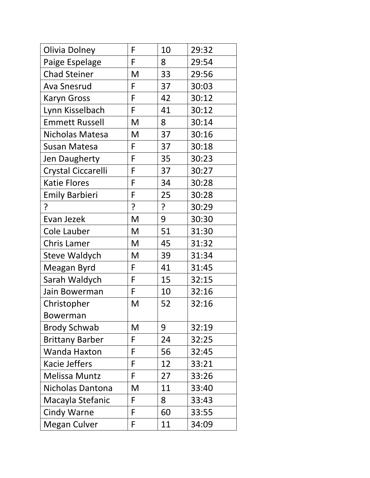| Olivia Dolney          | F | 10 | 29:32 |
|------------------------|---|----|-------|
| Paige Espelage         | F | 8  | 29:54 |
| <b>Chad Steiner</b>    | M | 33 | 29:56 |
| <b>Ava Snesrud</b>     | F | 37 | 30:03 |
| <b>Karyn Gross</b>     | F | 42 | 30:12 |
| Lynn Kisselbach        | F | 41 | 30:12 |
| <b>Emmett Russell</b>  | M | 8  | 30:14 |
| Nicholas Matesa        | M | 37 | 30:16 |
| Susan Matesa           | F | 37 | 30:18 |
| Jen Daugherty          | F | 35 | 30:23 |
| Crystal Ciccarelli     | F | 37 | 30:27 |
| <b>Katie Flores</b>    | F | 34 | 30:28 |
| <b>Emily Barbieri</b>  | F | 25 | 30:28 |
| ?                      | ? | ?  | 30:29 |
| Evan Jezek             | M | 9  | 30:30 |
| Cole Lauber            | M | 51 | 31:30 |
| <b>Chris Lamer</b>     | M | 45 | 31:32 |
| Steve Waldych          | M | 39 | 31:34 |
| Meagan Byrd            | F | 41 | 31:45 |
| Sarah Waldych          | F | 15 | 32:15 |
| Jain Bowerman          | F | 10 | 32:16 |
| Christopher            | M | 52 | 32:16 |
| Bowerman               |   |    |       |
| <b>Brody Schwab</b>    | M | 9  | 32:19 |
| <b>Brittany Barber</b> | F | 24 | 32:25 |
| <b>Wanda Haxton</b>    | F | 56 | 32:45 |
| Kacie Jeffers          | F | 12 | 33:21 |
| <b>Melissa Muntz</b>   | F | 27 | 33:26 |
| Nicholas Dantona       | M | 11 | 33:40 |
| Macayla Stefanic       | F | 8  | 33:43 |
| <b>Cindy Warne</b>     | F | 60 | 33:55 |
| Megan Culver           | F | 11 | 34:09 |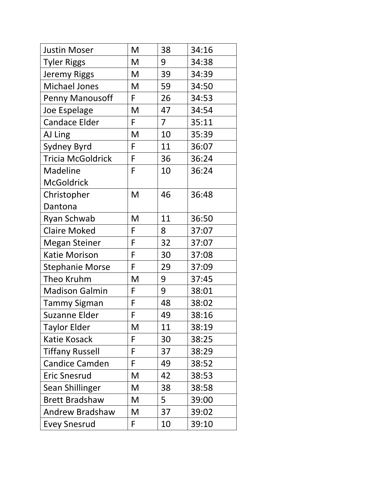| <b>Justin Moser</b>      | M  | 38 | 34:16 |
|--------------------------|----|----|-------|
| <b>Tyler Riggs</b>       | M  | 9  | 34:38 |
| <b>Jeremy Riggs</b>      | M  | 39 | 34:39 |
| <b>Michael Jones</b>     | M  | 59 | 34:50 |
| <b>Penny Manousoff</b>   | F  | 26 | 34:53 |
| Joe Espelage             | M  | 47 | 34:54 |
| <b>Candace Elder</b>     | F  | 7  | 35:11 |
| AJ Ling                  | M  | 10 | 35:39 |
| Sydney Byrd              | F  | 11 | 36:07 |
| <b>Tricia McGoldrick</b> | F  | 36 | 36:24 |
| Madeline                 | F  | 10 | 36:24 |
| <b>McGoldrick</b>        |    |    |       |
| Christopher              | M  | 46 | 36:48 |
| Dantona                  |    |    |       |
| Ryan Schwab              | M  | 11 | 36:50 |
| <b>Claire Moked</b>      | F  | 8  | 37:07 |
| <b>Megan Steiner</b>     | F  | 32 | 37:07 |
| Katie Morison            | F  | 30 | 37:08 |
| <b>Stephanie Morse</b>   | F  | 29 | 37:09 |
| Theo Kruhm               | M  | 9  | 37:45 |
| <b>Madison Galmin</b>    | F  | 9  | 38:01 |
| <b>Tammy Sigman</b>      | F  | 48 | 38:02 |
| <b>Suzanne Elder</b>     | F  | 49 | 38:16 |
| <b>Taylor Elder</b>      | M  | 11 | 38:19 |
| Katie Kosack             | F  | 30 | 38:25 |
| <b>Tiffany Russell</b>   | F  | 37 | 38:29 |
| <b>Candice Camden</b>    | F  | 49 | 38:52 |
| <b>Eric Snesrud</b>      | M  | 42 | 38:53 |
| Sean Shillinger          | M  | 38 | 38:58 |
| <b>Brett Bradshaw</b>    | M  | 5  | 39:00 |
| <b>Andrew Bradshaw</b>   | M  | 37 | 39:02 |
| <b>Evey Snesrud</b>      | F. | 10 | 39:10 |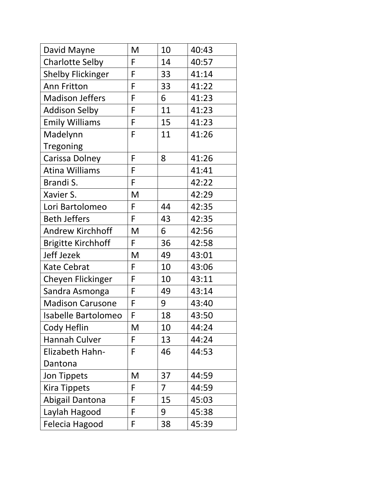| David Mayne               | M | 10 | 40:43 |
|---------------------------|---|----|-------|
| <b>Charlotte Selby</b>    | F | 14 | 40:57 |
| <b>Shelby Flickinger</b>  | F | 33 | 41:14 |
| Ann Fritton               | F | 33 | 41:22 |
| <b>Madison Jeffers</b>    | F | 6  | 41:23 |
| <b>Addison Selby</b>      | F | 11 | 41:23 |
| <b>Emily Williams</b>     | F | 15 | 41:23 |
| Madelynn                  | F | 11 | 41:26 |
| Tregoning                 |   |    |       |
| Carissa Dolney            | F | 8  | 41:26 |
| <b>Atina Williams</b>     | F |    | 41:41 |
| Brandi S.                 | F |    | 42:22 |
| Xavier S.                 | M |    | 42:29 |
| Lori Bartolomeo           | F | 44 | 42:35 |
| <b>Beth Jeffers</b>       | F | 43 | 42:35 |
| <b>Andrew Kirchhoff</b>   | M | 6  | 42:56 |
| <b>Brigitte Kirchhoff</b> | F | 36 | 42:58 |
| Jeff Jezek                | M | 49 | 43:01 |
| <b>Kate Cebrat</b>        | F | 10 | 43:06 |
| <b>Cheyen Flickinger</b>  | F | 10 | 43:11 |
| Sandra Asmonga            | F | 49 | 43:14 |
| <b>Madison Carusone</b>   | F | 9  | 43:40 |
| Isabelle Bartolomeo       | F | 18 | 43:50 |
| Cody Heflin               | M | 10 | 44:24 |
| Hannah Culver             | F | 13 | 44:24 |
| Elizabeth Hahn-           | F | 46 | 44:53 |
| Dantona                   |   |    |       |
| Jon Tippets               | M | 37 | 44:59 |
| Kira Tippets              | F | 7  | 44:59 |
| Abigail Dantona           | F | 15 | 45:03 |
| Laylah Hagood             | F | 9  | 45:38 |
| Felecia Hagood            | F | 38 | 45:39 |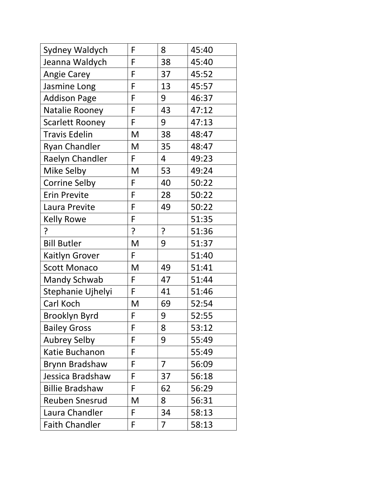| Sydney Waldych         | F | 8              | 45:40 |
|------------------------|---|----------------|-------|
| Jeanna Waldych         | F | 38             | 45:40 |
| <b>Angie Carey</b>     | F | 37             | 45:52 |
| Jasmine Long           | F | 13             | 45:57 |
| <b>Addison Page</b>    | F | 9              | 46:37 |
| Natalie Rooney         | F | 43             | 47:12 |
| <b>Scarlett Rooney</b> | F | 9              | 47:13 |
| <b>Travis Edelin</b>   | M | 38             | 48:47 |
| <b>Ryan Chandler</b>   | M | 35             | 48:47 |
| Raelyn Chandler        | F | 4              | 49:23 |
| Mike Selby             | M | 53             | 49:24 |
| <b>Corrine Selby</b>   | F | 40             | 50:22 |
| <b>Erin Previte</b>    | F | 28             | 50:22 |
| Laura Previte          | F | 49             | 50:22 |
| <b>Kelly Rowe</b>      | F |                | 51:35 |
| ?                      | ? | $\cdot$        | 51:36 |
| <b>Bill Butler</b>     | M | 9              | 51:37 |
| <b>Kaitlyn Grover</b>  | F |                | 51:40 |
| <b>Scott Monaco</b>    | M | 49             | 51:41 |
| Mandy Schwab           | F | 47             | 51:44 |
| Stephanie Ujhelyi      | F | 41             | 51:46 |
| Carl Koch              | M | 69             | 52:54 |
| Brooklyn Byrd          | F | 9              | 52:55 |
| <b>Bailey Gross</b>    | F | 8              | 53:12 |
| <b>Aubrey Selby</b>    | F | 9              | 55:49 |
| Katie Buchanon         | F |                | 55:49 |
| Brynn Bradshaw         | F | 7              | 56:09 |
| Jessica Bradshaw       | F | 37             | 56:18 |
| <b>Billie Bradshaw</b> | F | 62             | 56:29 |
| <b>Reuben Snesrud</b>  | M | 8              | 56:31 |
| Laura Chandler         | F | 34             | 58:13 |
| <b>Faith Chandler</b>  | F | $\overline{7}$ | 58:13 |